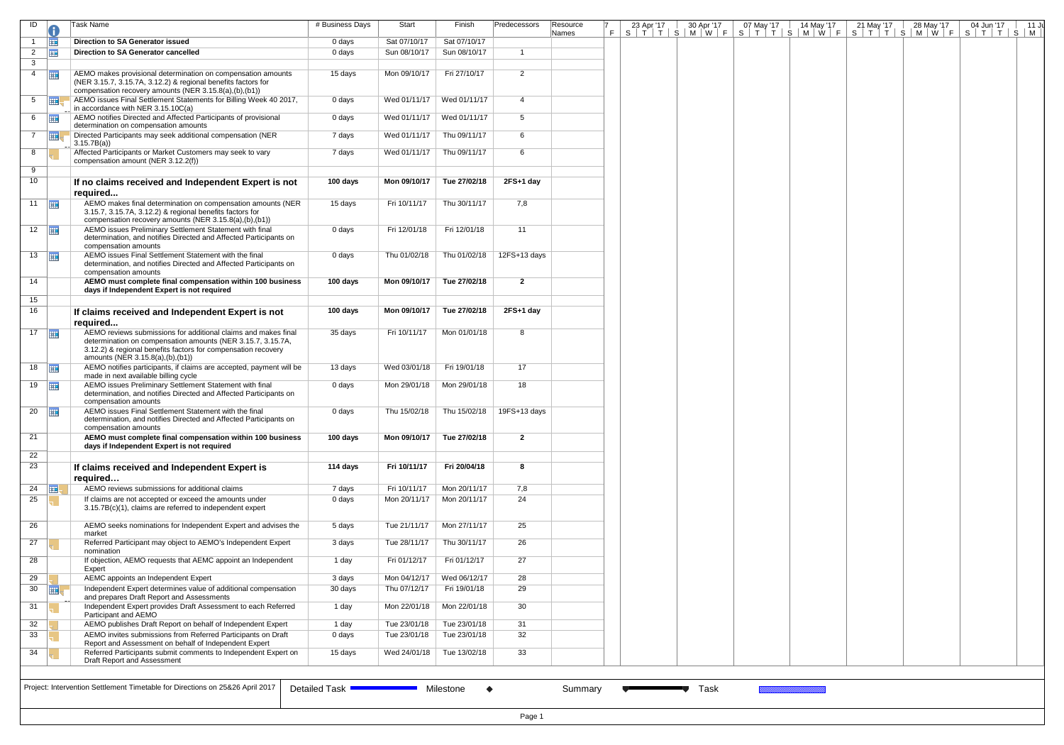| ID                   |                         | Task Name                                                                                                                                                                                                                          | # Business Days            | Start                       | Finish                 | Predecessors   | Resource<br>Names | 23 Apr '17 | 30 Apr '17 | 07 May '17 | $14$ May '17 | 21 May '17 | 28 May '17<br><u>F S T T S M W F S T T S M W F S T T S M W F S T T S M W F S T T S M</u> | 04 Jun '17 | 11 Ju |
|----------------------|-------------------------|------------------------------------------------------------------------------------------------------------------------------------------------------------------------------------------------------------------------------------|----------------------------|-----------------------------|------------------------|----------------|-------------------|------------|------------|------------|--------------|------------|------------------------------------------------------------------------------------------|------------|-------|
| $\mathbf{1}$         | <b>HE</b>               | <b>Direction to SA Generator issued</b>                                                                                                                                                                                            | 0 days                     | Sat 07/10/17                | Sat 07/10/17           |                |                   |            |            |            |              |            |                                                                                          |            |       |
| $2^{\circ}$          | $\overline{\mathbf{H}}$ | Direction to SA Generator cancelled                                                                                                                                                                                                | 0 days                     | Sun 08/10/17                | Sun 08/10/17           | $\overline{1}$ |                   |            |            |            |              |            |                                                                                          |            |       |
| $\mathbf{3}$         |                         |                                                                                                                                                                                                                                    |                            |                             |                        |                |                   |            |            |            |              |            |                                                                                          |            |       |
| $4$ $\frac{1}{2}$    |                         | AEMO makes provisional determination on compensation amounts<br>(NER 3.15.7, 3.15.7A, 3.12.2) & regional benefits factors for<br>compensation recovery amounts (NER 3.15.8(a),(b),(b1))                                            | 15 days                    | Mon 09/10/17                | Fri 27/10/17           | $\overline{2}$ |                   |            |            |            |              |            |                                                                                          |            |       |
| $5 \quad \boxed{11}$ |                         | AEMO issues Final Settlement Statements for Billing Week 40 2017,<br>in accordance with NER 3.15.10C(a)                                                                                                                            | 0 days                     | Wed 01/11/17   Wed 01/11/17 |                        | 4              |                   |            |            |            |              |            |                                                                                          |            |       |
| 6 $\Box$             |                         | AEMO notifies Directed and Affected Participants of provisional<br>determination on compensation amounts                                                                                                                           | 0 days                     | Wed 01/11/17   Wed 01/11/17 |                        | 5              |                   |            |            |            |              |            |                                                                                          |            |       |
| $7^{\circ}$          | $\mathbb{H}$            | Directed Participants may seek additional compensation (NER<br>3.15.7B(a)                                                                                                                                                          | 7 days                     | Wed 01/11/17                | Thu 09/11/17           | 6              |                   |            |            |            |              |            |                                                                                          |            |       |
| 8                    |                         | Affected Participants or Market Customers may seek to vary<br>compensation amount (NER 3.12.2(f))                                                                                                                                  | 7 days                     | Wed 01/11/17                | Thu 09/11/17           | 6              |                   |            |            |            |              |            |                                                                                          |            |       |
| 9                    |                         |                                                                                                                                                                                                                                    |                            |                             |                        |                |                   |            |            |            |              |            |                                                                                          |            |       |
| 10                   |                         | If no claims received and Independent Expert is not                                                                                                                                                                                | 100 days                   | Mon 09/10/17                | Tue 27/02/18           | $2FS+1$ day    |                   |            |            |            |              |            |                                                                                          |            |       |
|                      |                         | required                                                                                                                                                                                                                           |                            |                             |                        |                |                   |            |            |            |              |            |                                                                                          |            |       |
| 11 $\frac{1}{2}$     |                         | AEMO makes final determination on compensation amounts (NER<br>3.15.7, 3.15.7A, 3.12.2) & regional benefits factors for<br>compensation recovery amounts (NER 3.15.8(a),(b),(b1))                                                  | 15 days                    | Fri 10/11/17                | Thu 30/11/17           | 7,8            |                   |            |            |            |              |            |                                                                                          |            |       |
| $12$ $\frac{1}{2}$   |                         | AEMO issues Preliminary Settlement Statement with final<br>determination, and notifies Directed and Affected Participants on                                                                                                       | 0 days                     | Fri 12/01/18                | Fri 12/01/18           | 11             |                   |            |            |            |              |            |                                                                                          |            |       |
| 13 $\frac{1}{2}$     |                         | compensation amounts<br>AEMO issues Final Settlement Statement with the final<br>determination, and notifies Directed and Affected Participants on                                                                                 | 0 days                     | Thu 01/02/18                | Thu 01/02/18           | 12FS+13 days   |                   |            |            |            |              |            |                                                                                          |            |       |
| 14                   |                         | compensation amounts<br>AEMO must complete final compensation within 100 business<br>days if Independent Expert is not required                                                                                                    | 100 days                   | Mon 09/10/17                | Tue 27/02/18           | $\overline{2}$ |                   |            |            |            |              |            |                                                                                          |            |       |
| 15                   |                         |                                                                                                                                                                                                                                    |                            |                             |                        |                |                   |            |            |            |              |            |                                                                                          |            |       |
| 16                   |                         | If claims received and Independent Expert is not<br>required                                                                                                                                                                       | 100 days                   | Mon 09/10/17                | Tue 27/02/18           | $2FS+1$ day    |                   |            |            |            |              |            |                                                                                          |            |       |
| $17$ $\Box$          |                         | AEMO reviews submissions for additional claims and makes final<br>determination on compensation amounts (NER 3.15.7, 3.15.7A,<br>3.12.2) & regional benefits factors for compensation recovery<br>amounts (NER 3.15.8(a),(b),(b1)) | 35 days                    | Fri 10/11/17                | Mon 01/01/18           | 8              |                   |            |            |            |              |            |                                                                                          |            |       |
| 18                   |                         | AEMO notifies participants, if claims are accepted, payment will be<br>made in next available billing cycle                                                                                                                        | 13 days                    | Wed 03/01/18                | Fri 19/01/18           | 17             |                   |            |            |            |              |            |                                                                                          |            |       |
| 19 $\frac{1}{2}$     |                         | AEMO issues Preliminary Settlement Statement with final<br>determination, and notifies Directed and Affected Participants on<br>compensation amounts                                                                               | 0 days                     | Mon 29/01/18                | Mon 29/01/18           | 18             |                   |            |            |            |              |            |                                                                                          |            |       |
| 20                   | <b>THE</b>              | AEMO issues Final Settlement Statement with the final<br>determination, and notifies Directed and Affected Participants on<br>compensation amounts                                                                                 | 0 days                     | Thu 15/02/18                | Thu 15/02/18           | 19FS+13 days   |                   |            |            |            |              |            |                                                                                          |            |       |
| 21                   |                         | AEMO must complete final compensation within 100 business<br>days if Independent Expert is not required                                                                                                                            | 100 days                   | Mon 09/10/17                | Tue 27/02/18           | $\overline{2}$ |                   |            |            |            |              |            |                                                                                          |            |       |
| 22                   |                         |                                                                                                                                                                                                                                    |                            |                             |                        |                |                   |            |            |            |              |            |                                                                                          |            |       |
| 23                   |                         | If claims received and Independent Expert is                                                                                                                                                                                       | 114 days                   | Fri 10/11/17                | Fri 20/04/18           | 8              |                   |            |            |            |              |            |                                                                                          |            |       |
| 24 $\Box$            |                         | required<br>AEMO reviews submissions for additional claims                                                                                                                                                                         | 7 days                     | Fri 10/11/17                | Mon 20/11/17           | 7,8            |                   |            |            |            |              |            |                                                                                          |            |       |
| 25                   |                         | If claims are not accepted or exceed the amounts under<br>3.15.7B(c)(1), claims are referred to independent expert                                                                                                                 | 0 days                     | Mon 20/11/17                | Mon 20/11/17           | 24             |                   |            |            |            |              |            |                                                                                          |            |       |
| 26                   |                         | AEMO seeks nominations for Independent Expert and advises the                                                                                                                                                                      | 5 days                     | Tue 21/11/17                | Mon 27/11/17           | 25             |                   |            |            |            |              |            |                                                                                          |            |       |
| 27                   |                         | market<br>Referred Participant may object to AEMO's Independent Expert                                                                                                                                                             | 3 days                     | Tue 28/11/17                | Thu 30/11/17           | 26             |                   |            |            |            |              |            |                                                                                          |            |       |
| 28                   |                         | nomination<br>If objection, AEMO requests that AEMC appoint an Independent                                                                                                                                                         | 1 day                      | Fri 01/12/17                | Fri 01/12/17           | 27             |                   |            |            |            |              |            |                                                                                          |            |       |
|                      |                         | Expert                                                                                                                                                                                                                             |                            |                             |                        |                |                   |            |            |            |              |            |                                                                                          |            |       |
| 29                   |                         | AEMC appoints an Independent Expert                                                                                                                                                                                                | 3 days                     | Mon 04/12/17                | Wed 06/12/17           | 28             |                   |            |            |            |              |            |                                                                                          |            |       |
| 30                   | 再                       | Independent Expert determines value of additional compensation                                                                                                                                                                     | 30 days                    | Thu 07/12/17                | Fri 19/01/18           | 29             |                   |            |            |            |              |            |                                                                                          |            |       |
| 31                   |                         | and prepares Draft Report and Assessments<br>Independent Expert provides Draft Assessment to each Referred                                                                                                                         | 1 day                      | Mon 22/01/18                | Mon 22/01/18           | 30             |                   |            |            |            |              |            |                                                                                          |            |       |
|                      |                         | Participant and AEMO<br>AEMO publishes Draft Report on behalf of Independent Expert                                                                                                                                                |                            | Tue 23/01/18                | Tue 23/01/18           |                |                   |            |            |            |              |            |                                                                                          |            |       |
| 32<br>33             |                         | AEMO invites submissions from Referred Participants on Draft                                                                                                                                                                       | 1 day<br>0 days            | Tue 23/01/18                | Tue 23/01/18           | 31<br>32       |                   |            |            |            |              |            |                                                                                          |            |       |
| 34                   |                         | Report and Assessment on behalf of Independent Expert<br>Referred Participants submit comments to Independent Expert on<br>Draft Report and Assessment                                                                             | 15 days                    | Wed 24/01/18                | Tue 13/02/18           | 33             |                   |            |            |            |              |            |                                                                                          |            |       |
|                      |                         |                                                                                                                                                                                                                                    |                            |                             |                        |                |                   |            |            |            |              |            |                                                                                          |            |       |
|                      |                         |                                                                                                                                                                                                                                    |                            |                             |                        |                |                   |            |            |            |              |            |                                                                                          |            |       |
|                      |                         | Project: Intervention Settlement Timetable for Directions on 25&26 April 2017                                                                                                                                                      | Detailed Task <sup>•</sup> |                             | Milestone<br>$\bullet$ |                | Summary           |            | Task       |            |              |            |                                                                                          |            |       |
|                      |                         |                                                                                                                                                                                                                                    |                            |                             |                        |                |                   |            |            |            |              |            |                                                                                          |            |       |
|                      |                         |                                                                                                                                                                                                                                    |                            |                             |                        |                |                   |            |            |            |              |            |                                                                                          |            |       |
|                      |                         |                                                                                                                                                                                                                                    |                            |                             |                        | Page 1         |                   |            |            |            |              |            |                                                                                          |            |       |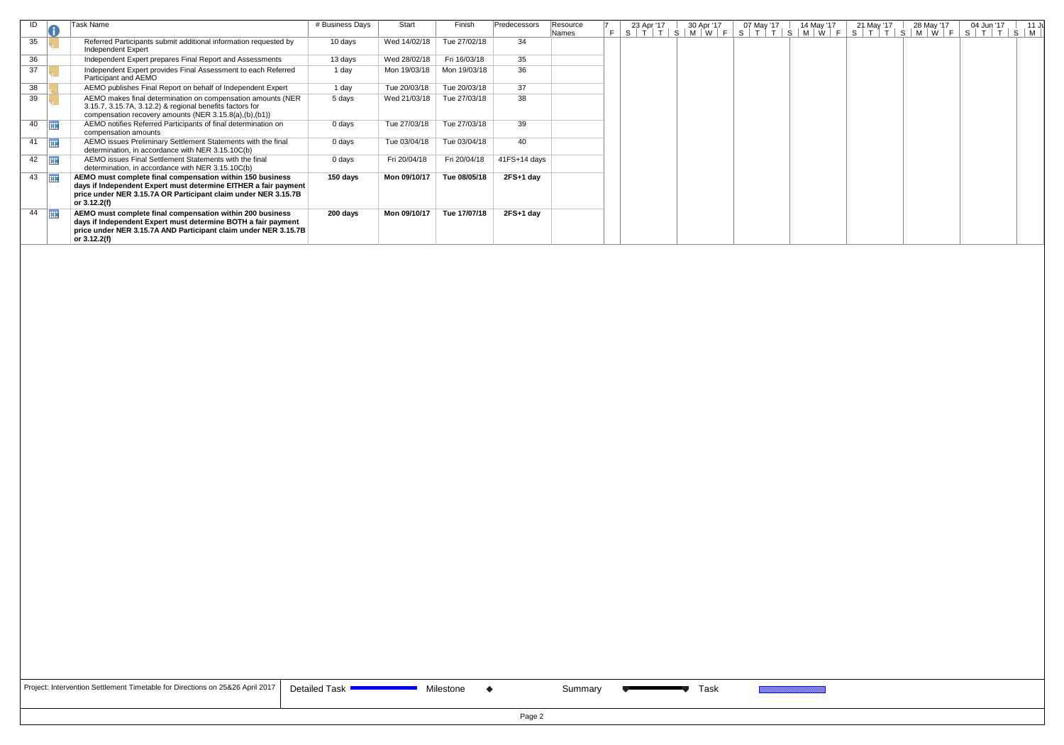| ID | w          | Task Name                                                                                                                                                                                                      | # Business Days | Start        | Finish       | Predecessors   | Resource<br><b>Names</b> | 23 Apr '17 | 30 Apr '17<br> S T T S M W F | 07 May '17<br>S[T]T | 14 May '17 | 21 May '17 | 28 May '17<br>$S$   M   W   F   S   T   T   S   M   W   F | 04 Jun '17<br> T T <br>S. | 11 J<br>$S \mid M \mid$ |
|----|------------|----------------------------------------------------------------------------------------------------------------------------------------------------------------------------------------------------------------|-----------------|--------------|--------------|----------------|--------------------------|------------|------------------------------|---------------------|------------|------------|-----------------------------------------------------------|---------------------------|-------------------------|
| 35 |            | Referred Participants submit additional information requested by<br>Independent Expert                                                                                                                         | 10 days         | Wed 14/02/18 | Tue 27/02/18 | 34             |                          |            |                              |                     |            |            |                                                           |                           |                         |
| 36 |            | Independent Expert prepares Final Report and Assessments                                                                                                                                                       | 13 days         | Wed 28/02/18 | Fri 16/03/18 | 35             |                          |            |                              |                     |            |            |                                                           |                           |                         |
| 37 |            | Independent Expert provides Final Assessment to each Referred<br>Participant and AEMO                                                                                                                          | 1 day           | Mon 19/03/18 | Mon 19/03/18 | 36             |                          |            |                              |                     |            |            |                                                           |                           |                         |
| 38 |            | AEMO publishes Final Report on behalf of Independent Expert                                                                                                                                                    | 1 day           | Tue 20/03/18 | Tue 20/03/18 | 37             |                          |            |                              |                     |            |            |                                                           |                           |                         |
| 39 |            | AEMO makes final determination on compensation amounts (NER<br>3.15.7, 3.15.7A, 3.12.2) & regional benefits factors for<br>compensation recovery amounts (NER 3.15.8(a),(b),(b1))                              | 5 days          | Wed 21/03/18 | Tue 27/03/18 | 38             |                          |            |                              |                     |            |            |                                                           |                           |                         |
| 40 | 曲          | AEMO notifies Referred Participants of final determination on<br>compensation amounts                                                                                                                          | 0 days          | Tue 27/03/18 | Tue 27/03/18 | 39             |                          |            |                              |                     |            |            |                                                           |                           |                         |
| 41 | <b>ITT</b> | AEMO issues Preliminary Settlement Statements with the final<br>determination, in accordance with NER 3.15.10C(b)                                                                                              | 0 days          | Tue 03/04/18 | Tue 03/04/18 | 40             |                          |            |                              |                     |            |            |                                                           |                           |                         |
| 42 | Ħ          | AEMO issues Final Settlement Statements with the final<br>determination, in accordance with NER 3.15.10C(b)                                                                                                    | 0 days          | Fri 20/04/18 | Fri 20/04/18 | $41FS+14$ days |                          |            |                              |                     |            |            |                                                           |                           |                         |
| 43 |            | AEMO must complete final compensation within 150 business<br>days if Independent Expert must determine EITHER a fair payment<br>price under NER 3.15.7A OR Participant claim under NER 3.15.7B<br>or 3.12.2(f) | 150 days        | Mon 09/10/17 | Tue 08/05/18 | $2FS+1$ day    |                          |            |                              |                     |            |            |                                                           |                           |                         |
| 44 |            | AEMO must complete final compensation within 200 business<br>days if Independent Expert must determine BOTH a fair payment<br>price under NER 3.15.7A AND Participant claim under NER 3.15.7B<br>or 3.12.2(f)  | 200 days        | Mon 09/10/17 | Tue 17/07/18 | $2FS+1$ day    |                          |            |                              |                     |            |            |                                                           |                           |                         |

| Project: Intervention Settlement Timetable for Directions on 25&26 April 2017   D |  |
|-----------------------------------------------------------------------------------|--|
|-----------------------------------------------------------------------------------|--|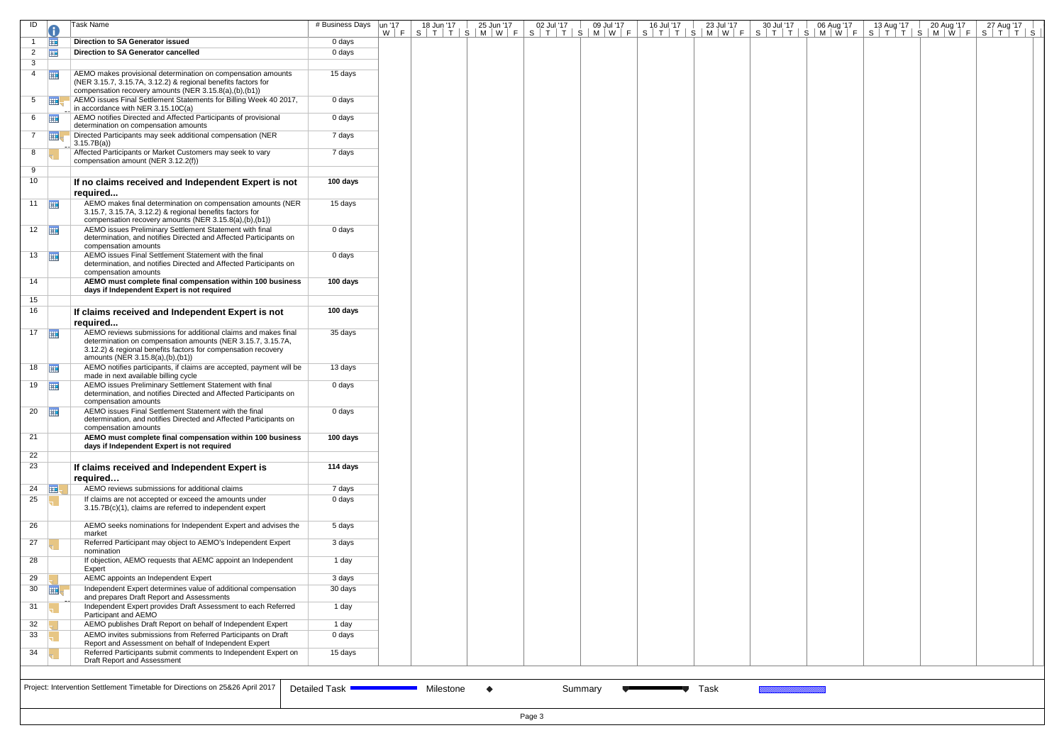| ID                   |                | Task Name                                                                                                                                                                                                                          | # Business Days | un '17 | 18 Jun '17 | 25 Jun '17 | 02 Jul '17 | 09 Jul '17 | 16 Jul '17 | 23 Jul '17 | 30 Jul '17 | 06 Aug '17 | 13 Aug '17 | 20 Aug '17 | 27 Aug '17<br><u>W F S T T S M W F S T T S M W F S T T S M W F S T T S M W F S T T S M W F S T T S </u> |
|----------------------|----------------|------------------------------------------------------------------------------------------------------------------------------------------------------------------------------------------------------------------------------------|-----------------|--------|------------|------------|------------|------------|------------|------------|------------|------------|------------|------------|---------------------------------------------------------------------------------------------------------|
|                      | ⊞              | Direction to SA Generator issued                                                                                                                                                                                                   | 0 days          |        |            |            |            |            |            |            |            |            |            |            |                                                                                                         |
| $\overline{2}$       | 亜              | Direction to SA Generator cancelled                                                                                                                                                                                                | 0 days          |        |            |            |            |            |            |            |            |            |            |            |                                                                                                         |
| 3                    |                |                                                                                                                                                                                                                                    |                 |        |            |            |            |            |            |            |            |            |            |            |                                                                                                         |
| $\overline{4}$       | $\overline{1}$ | AEMO makes provisional determination on compensation amounts<br>(NER 3.15.7, 3.15.7A, 3.12.2) & regional benefits factors for<br>compensation recovery amounts (NER 3.15.8(a),(b),(b1))                                            | 15 days         |        |            |            |            |            |            |            |            |            |            |            |                                                                                                         |
| 5 <sup>5</sup>       | 亜              | AEMO issues Final Settlement Statements for Billing Week 40 2017,<br>in accordance with NER 3.15.10C(a)                                                                                                                            | 0 days          |        |            |            |            |            |            |            |            |            |            |            |                                                                                                         |
|                      | 6 $\Box$       | AEMO notifies Directed and Affected Participants of provisional<br>determination on compensation amounts                                                                                                                           | 0 days          |        |            |            |            |            |            |            |            |            |            |            |                                                                                                         |
| $7^{\circ}$          |                | Directed Participants may seek additional compensation (NER<br>3.15.7B(a)                                                                                                                                                          | 7 days          |        |            |            |            |            |            |            |            |            |            |            |                                                                                                         |
| 8                    |                | Affected Participants or Market Customers may seek to vary<br>compensation amount (NER 3.12.2(f))                                                                                                                                  | 7 days          |        |            |            |            |            |            |            |            |            |            |            |                                                                                                         |
| 9                    |                |                                                                                                                                                                                                                                    |                 |        |            |            |            |            |            |            |            |            |            |            |                                                                                                         |
| 10                   |                | If no claims received and Independent Expert is not                                                                                                                                                                                | 100 days        |        |            |            |            |            |            |            |            |            |            |            |                                                                                                         |
|                      |                | required                                                                                                                                                                                                                           |                 |        |            |            |            |            |            |            |            |            |            |            |                                                                                                         |
| $11$ $\Box$          |                | AEMO makes final determination on compensation amounts (NER<br>3.15.7, 3.15.7A, 3.12.2) & regional benefits factors for<br>compensation recovery amounts (NER 3.15.8(a),(b),(b1))                                                  | 15 days         |        |            |            |            |            |            |            |            |            |            |            |                                                                                                         |
| $12$ $\frac{1}{2}$   |                | AEMO issues Preliminary Settlement Statement with final<br>determination, and notifies Directed and Affected Participants on<br>compensation amounts                                                                               | 0 days          |        |            |            |            |            |            |            |            |            |            |            |                                                                                                         |
| $13$ $\frac{1}{11}$  |                | AEMO issues Final Settlement Statement with the final<br>determination, and notifies Directed and Affected Participants on<br>compensation amounts                                                                                 | 0 days          |        |            |            |            |            |            |            |            |            |            |            |                                                                                                         |
| 14                   |                | AEMO must complete final compensation within 100 business<br>days if Independent Expert is not required                                                                                                                            | 100 days        |        |            |            |            |            |            |            |            |            |            |            |                                                                                                         |
| 15                   |                |                                                                                                                                                                                                                                    |                 |        |            |            |            |            |            |            |            |            |            |            |                                                                                                         |
| 16                   |                | If claims received and Independent Expert is not<br>required                                                                                                                                                                       | 100 days        |        |            |            |            |            |            |            |            |            |            |            |                                                                                                         |
| $17$ $\frac{1}{112}$ |                | AEMO reviews submissions for additional claims and makes final<br>determination on compensation amounts (NER 3.15.7, 3.15.7A,<br>3.12.2) & regional benefits factors for compensation recovery<br>amounts (NER 3.15.8(a),(b),(b1)) | 35 days         |        |            |            |            |            |            |            |            |            |            |            |                                                                                                         |
| 18                   |                | AEMO notifies participants, if claims are accepted, payment will be<br>made in next available billing cycle                                                                                                                        | 13 days         |        |            |            |            |            |            |            |            |            |            |            |                                                                                                         |
| $19$ $\frac{1}{111}$ |                | AEMO issues Preliminary Settlement Statement with final<br>determination, and notifies Directed and Affected Participants on<br>compensation amounts                                                                               | 0 days          |        |            |            |            |            |            |            |            |            |            |            |                                                                                                         |
| 20                   |                | AEMO issues Final Settlement Statement with the final<br>determination, and notifies Directed and Affected Participants on<br>compensation amounts                                                                                 | 0 days          |        |            |            |            |            |            |            |            |            |            |            |                                                                                                         |
| 21                   |                | AEMO must complete final compensation within 100 business<br>days if Independent Expert is not required                                                                                                                            | 100 days        |        |            |            |            |            |            |            |            |            |            |            |                                                                                                         |
| 22<br>23             |                | If claims received and Independent Expert is                                                                                                                                                                                       | 114 days        |        |            |            |            |            |            |            |            |            |            |            |                                                                                                         |
|                      |                | required                                                                                                                                                                                                                           |                 |        |            |            |            |            |            |            |            |            |            |            |                                                                                                         |
| 24 $\Box$            |                | AEMO reviews submissions for additional claims                                                                                                                                                                                     | 7 days          |        |            |            |            |            |            |            |            |            |            |            |                                                                                                         |
| 25                   |                | If claims are not accepted or exceed the amounts under<br>3.15.7B(c)(1), claims are referred to independent expert                                                                                                                 | 0 days          |        |            |            |            |            |            |            |            |            |            |            |                                                                                                         |
| 26                   |                | AEMO seeks nominations for Independent Expert and advises the<br>market                                                                                                                                                            | 5 days          |        |            |            |            |            |            |            |            |            |            |            |                                                                                                         |
| 27                   |                | Referred Participant may object to AEMO's Independent Expert<br>nomination                                                                                                                                                         | 3 days          |        |            |            |            |            |            |            |            |            |            |            |                                                                                                         |
| 28                   |                | If objection, AEMO requests that AEMC appoint an Independent<br>Expert                                                                                                                                                             | 1 day           |        |            |            |            |            |            |            |            |            |            |            |                                                                                                         |
| 29                   |                | AEMC appoints an Independent Expert                                                                                                                                                                                                | 3 days          |        |            |            |            |            |            |            |            |            |            |            |                                                                                                         |
| 30 <sub>o</sub>      | ⊞              | Independent Expert determines value of additional compensation<br>and prepares Draft Report and Assessments                                                                                                                        | 30 days         |        |            |            |            |            |            |            |            |            |            |            |                                                                                                         |
| 31                   |                | Independent Expert provides Draft Assessment to each Referred<br>Participant and AEMO                                                                                                                                              | 1 day           |        |            |            |            |            |            |            |            |            |            |            |                                                                                                         |
| 32                   |                | AEMO publishes Draft Report on behalf of Independent Expert                                                                                                                                                                        | 1 day           |        |            |            |            |            |            |            |            |            |            |            |                                                                                                         |
| 33                   |                | AEMO invites submissions from Referred Participants on Draft<br>Report and Assessment on behalf of Independent Expert                                                                                                              | 0 days          |        |            |            |            |            |            |            |            |            |            |            |                                                                                                         |
| 34                   |                | Referred Participants submit comments to Independent Expert on<br>Draft Report and Assessment                                                                                                                                      | 15 days         |        |            |            |            |            |            |            |            |            |            |            |                                                                                                         |
|                      |                | Project: Intervention Settlement Timetable for Directions on 25&26 April 2017                                                                                                                                                      | Detailed Task ' |        | Milestone  |            |            | Summary    |            | Task       |            |            |            |            |                                                                                                         |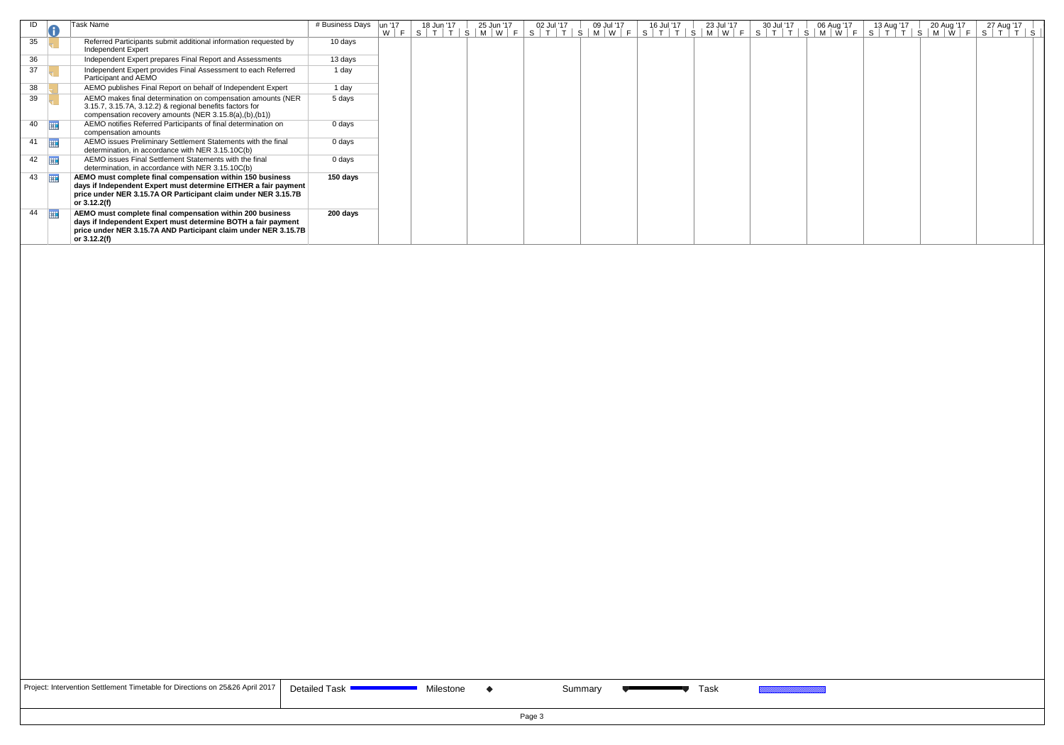| ID          | Task Name                                                                                                                                                                                                        | # Business Days | lun '17 | 18 Jun '17 | 25 Jun '17 | 02 Jul '17 | 09 Jul '17 | 16 Jul '17 | 23 Jul '17 | 30 Jul '17 | 06 Aug '17 | 13 Aug '17 | 20 Aug '17 | 27 Aug '17<br>W F S T T S M W F S T T S M W F S T T S M W F S T T S M W F S T T S M W F S T T S |
|-------------|------------------------------------------------------------------------------------------------------------------------------------------------------------------------------------------------------------------|-----------------|---------|------------|------------|------------|------------|------------|------------|------------|------------|------------|------------|-------------------------------------------------------------------------------------------------|
| 35          | Referred Participants submit additional information requested by<br>Independent Expert                                                                                                                           | 10 days         |         |            |            |            |            |            |            |            |            |            |            |                                                                                                 |
| 36          | Independent Expert prepares Final Report and Assessments                                                                                                                                                         | 13 days         |         |            |            |            |            |            |            |            |            |            |            |                                                                                                 |
| 37          | Independent Expert provides Final Assessment to each Referred<br>Participant and AEMO                                                                                                                            | 1 day           |         |            |            |            |            |            |            |            |            |            |            |                                                                                                 |
| 38          | AEMO publishes Final Report on behalf of Independent Expert                                                                                                                                                      | 1 day           |         |            |            |            |            |            |            |            |            |            |            |                                                                                                 |
| 39          | AEMO makes final determination on compensation amounts (NER<br>3.15.7, 3.15.7A, 3.12.2) & regional benefits factors for<br>compensation recovery amounts (NER 3.15.8(a),(b),(b1))                                | 5 days          |         |            |            |            |            |            |            |            |            |            |            |                                                                                                 |
| $40$ $\Box$ | AEMO notifies Referred Participants of final determination on<br>compensation amounts                                                                                                                            | 0 days          |         |            |            |            |            |            |            |            |            |            |            |                                                                                                 |
| $41$ $\Box$ | AEMO issues Preliminary Settlement Statements with the final<br>determination, in accordance with NER 3.15.10C(b)                                                                                                | 0 days          |         |            |            |            |            |            |            |            |            |            |            |                                                                                                 |
| $42$ $\Box$ | AEMO issues Final Settlement Statements with the final<br>determination, in accordance with NER 3.15.10C(b)                                                                                                      | 0 days          |         |            |            |            |            |            |            |            |            |            |            |                                                                                                 |
| 43          | AEMO must complete final compensation within 150 business<br>days if Independent Expert must determine EITHER a fair payment<br>price under NER 3.15.7A OR Participant claim under NER 3.15.7B<br>or $3.12.2(f)$ | 150 days        |         |            |            |            |            |            |            |            |            |            |            |                                                                                                 |
| $44$ $\Box$ | AEMO must complete final compensation within 200 business<br>days if Independent Expert must determine BOTH a fair payment<br>price under NER 3.15.7A AND Participant claim under NER 3.15.7B<br>or 3.12.2(f)    | 200 days        |         |            |            |            |            |            |            |            |            |            |            |                                                                                                 |

| Project: Intervention Settlement Timetable for Directions on 25&26 April 2017 |  |
|-------------------------------------------------------------------------------|--|
|-------------------------------------------------------------------------------|--|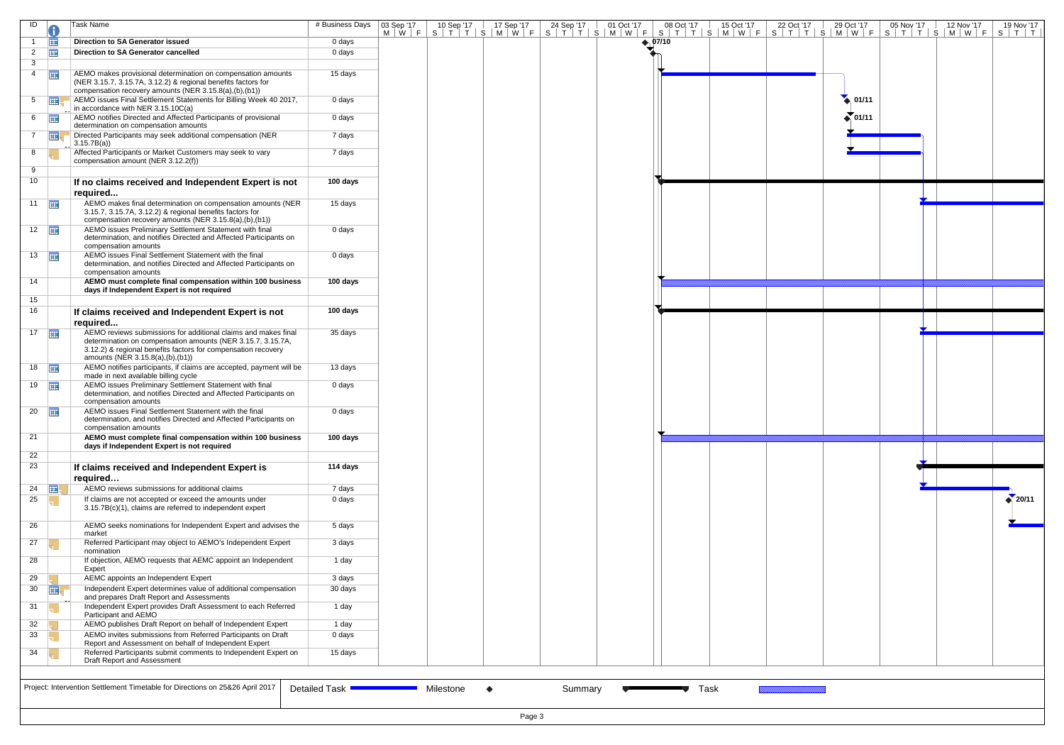| ID                    |                      | Task Name                                                                                                                                                                                                                                      | # Business Days | 03 Sep '17 |           |        |         | 03 Sep '17   10 Sep '17   17 Sep '17   24 Sep '17   01 Oct '17   08 Oct '17   15 Oct '17   22 Oct '17   29 Oct '17   05 Nov '17   12 Nov '17   19 Nov '17   19 Nov '17<br>M   W   F   S   T   T   S   M   W   F   S   T   T   S |      |  |                 |  |                   |
|-----------------------|----------------------|------------------------------------------------------------------------------------------------------------------------------------------------------------------------------------------------------------------------------------------------|-----------------|------------|-----------|--------|---------|---------------------------------------------------------------------------------------------------------------------------------------------------------------------------------------------------------------------------------|------|--|-----------------|--|-------------------|
|                       | <b>THE</b>           | <b>Direction to SA Generator issued</b>                                                                                                                                                                                                        | 0 days          |            |           |        |         | $\leftrightarrow$ 07/10                                                                                                                                                                                                         |      |  |                 |  |                   |
| $\overline{2}$        | 冊                    | Direction to SA Generator cancelled                                                                                                                                                                                                            | 0 days          |            |           |        |         |                                                                                                                                                                                                                                 |      |  |                 |  |                   |
| 3                     |                      |                                                                                                                                                                                                                                                |                 |            |           |        |         |                                                                                                                                                                                                                                 |      |  |                 |  |                   |
| $\overline{4}$        | 再                    | AEMO makes provisional determination on compensation amounts<br>(NER 3.15.7, 3.15.7A, 3.12.2) & regional benefits factors for<br>compensation recovery amounts (NER 3.15.8(a),(b),(b1))                                                        | 15 days         |            |           |        |         |                                                                                                                                                                                                                                 |      |  |                 |  |                   |
|                       | $5 \quad \boxed{11}$ | AEMO issues Final Settlement Statements for Billing Week 40 2017,<br>in accordance with NER 3.15.10C(a)                                                                                                                                        | 0 days          |            |           |        |         |                                                                                                                                                                                                                                 |      |  | $\bullet$ 01/11 |  |                   |
| $6 \quad \boxed{11}$  |                      | AEMO notifies Directed and Affected Participants of provisional<br>determination on compensation amounts                                                                                                                                       | 0 days          |            |           |        |         |                                                                                                                                                                                                                                 |      |  | $\sum_{1/11}$   |  |                   |
| $7^{\circ}$           | 再                    | Directed Participants may seek additional compensation (NER<br>3.15.7B(a)                                                                                                                                                                      | 7 days          |            |           |        |         |                                                                                                                                                                                                                                 |      |  |                 |  |                   |
| 8                     |                      | Affected Participants or Market Customers may seek to vary<br>compensation amount (NER 3.12.2(f))                                                                                                                                              | 7 days          |            |           |        |         |                                                                                                                                                                                                                                 |      |  |                 |  |                   |
| 9<br>10               |                      | If no claims received and Independent Expert is not<br>required                                                                                                                                                                                | 100 days        |            |           |        |         |                                                                                                                                                                                                                                 |      |  |                 |  |                   |
| 11 $\frac{1}{2}$      |                      | AEMO makes final determination on compensation amounts (NER<br>3.15.7, 3.15.7A, 3.12.2) & regional benefits factors for<br>compensation recovery amounts (NER 3.15.8(a),(b),(b1))                                                              | 15 days         |            |           |        |         |                                                                                                                                                                                                                                 |      |  |                 |  |                   |
| $12$ $\Box$           |                      | AEMO issues Preliminary Settlement Statement with final<br>determination, and notifies Directed and Affected Participants on<br>compensation amounts                                                                                           | 0 days          |            |           |        |         |                                                                                                                                                                                                                                 |      |  |                 |  |                   |
| $13 \quad \boxed{11}$ |                      | AEMO issues Final Settlement Statement with the final<br>determination, and notifies Directed and Affected Participants on<br>compensation amounts                                                                                             | 0 days          |            |           |        |         |                                                                                                                                                                                                                                 |      |  |                 |  |                   |
| 14                    |                      | AEMO must complete final compensation within 100 business<br>days if Independent Expert is not required                                                                                                                                        | 100 days        |            |           |        |         |                                                                                                                                                                                                                                 |      |  |                 |  |                   |
| 15                    |                      |                                                                                                                                                                                                                                                |                 |            |           |        |         |                                                                                                                                                                                                                                 |      |  |                 |  |                   |
| 16                    |                      | If claims received and Independent Expert is not                                                                                                                                                                                               | 100 days        |            |           |        |         |                                                                                                                                                                                                                                 |      |  |                 |  |                   |
| $17$ $\Box$           |                      | required<br>AEMO reviews submissions for additional claims and makes final<br>determination on compensation amounts (NER 3.15.7, 3.15.7A,<br>3.12.2) & regional benefits factors for compensation recovery<br>amounts (NER 3.15.8(a),(b),(b1)) | 35 days         |            |           |        |         |                                                                                                                                                                                                                                 |      |  |                 |  |                   |
| $18$ $\frac{1}{2}$    |                      | AEMO notifies participants, if claims are accepted, payment will be<br>made in next available billing cycle                                                                                                                                    | 13 days         |            |           |        |         |                                                                                                                                                                                                                                 |      |  |                 |  |                   |
| $19$ $\Box$           |                      | AEMO issues Preliminary Settlement Statement with final<br>determination, and notifies Directed and Affected Participants on<br>compensation amounts                                                                                           | 0 days          |            |           |        |         |                                                                                                                                                                                                                                 |      |  |                 |  |                   |
| 20                    |                      | AEMO issues Final Settlement Statement with the final<br>determination, and notifies Directed and Affected Participants on<br>compensation amounts                                                                                             | 0 days          |            |           |        |         |                                                                                                                                                                                                                                 |      |  |                 |  |                   |
| 21                    |                      | AEMO must complete final compensation within 100 business<br>days if Independent Expert is not required                                                                                                                                        | 100 days        |            |           |        |         |                                                                                                                                                                                                                                 |      |  |                 |  |                   |
| 22                    |                      |                                                                                                                                                                                                                                                |                 |            |           |        |         |                                                                                                                                                                                                                                 |      |  |                 |  |                   |
| 23                    |                      | If claims received and Independent Expert is<br>required                                                                                                                                                                                       | 114 days        |            |           |        |         |                                                                                                                                                                                                                                 |      |  |                 |  |                   |
| 24                    | <b>ELL</b>           | AEMO reviews submissions for additional claims                                                                                                                                                                                                 | 7 days          |            |           |        |         |                                                                                                                                                                                                                                 |      |  |                 |  |                   |
| 25                    |                      | If claims are not accepted or exceed the amounts under<br>3.15.7B(c)(1), claims are referred to independent expert                                                                                                                             | 0 days          |            |           |        |         |                                                                                                                                                                                                                                 |      |  |                 |  | $\triangle$ 20/11 |
| 26                    |                      | AEMO seeks nominations for Independent Expert and advises the<br>market                                                                                                                                                                        | 5 days          |            |           |        |         |                                                                                                                                                                                                                                 |      |  |                 |  |                   |
| 27                    |                      | Referred Participant may object to AEMO's Independent Expert<br>nomination                                                                                                                                                                     | 3 days          |            |           |        |         |                                                                                                                                                                                                                                 |      |  |                 |  |                   |
| 28                    |                      | If objection, AEMO requests that AEMC appoint an Independent<br>Expert                                                                                                                                                                         | 1 day           |            |           |        |         |                                                                                                                                                                                                                                 |      |  |                 |  |                   |
| 29                    |                      | AEMC appoints an Independent Expert                                                                                                                                                                                                            | 3 days          |            |           |        |         |                                                                                                                                                                                                                                 |      |  |                 |  |                   |
| 30                    | 亜                    | Independent Expert determines value of additional compensation<br>and prepares Draft Report and Assessments                                                                                                                                    | 30 days         |            |           |        |         |                                                                                                                                                                                                                                 |      |  |                 |  |                   |
| 31                    |                      | Independent Expert provides Draft Assessment to each Referred<br>Participant and AEMO                                                                                                                                                          | 1 day           |            |           |        |         |                                                                                                                                                                                                                                 |      |  |                 |  |                   |
| 32                    |                      | AEMO publishes Draft Report on behalf of Independent Expert                                                                                                                                                                                    | 1 day           |            |           |        |         |                                                                                                                                                                                                                                 |      |  |                 |  |                   |
| 33                    |                      | AEMO invites submissions from Referred Participants on Draft                                                                                                                                                                                   | 0 days          |            |           |        |         |                                                                                                                                                                                                                                 |      |  |                 |  |                   |
| 34                    |                      | Report and Assessment on behalf of Independent Expert<br>Referred Participants submit comments to Independent Expert on<br>Draft Report and Assessment                                                                                         | 15 days         |            |           |        |         |                                                                                                                                                                                                                                 |      |  |                 |  |                   |
|                       |                      |                                                                                                                                                                                                                                                |                 |            |           |        |         |                                                                                                                                                                                                                                 |      |  |                 |  |                   |
|                       |                      | Project: Intervention Settlement Timetable for Directions on 25&26 April 2017                                                                                                                                                                  | Detailed Task ' |            | Milestone |        | Summary |                                                                                                                                                                                                                                 | Task |  |                 |  |                   |
|                       |                      |                                                                                                                                                                                                                                                |                 |            |           | Page 3 |         |                                                                                                                                                                                                                                 |      |  |                 |  |                   |

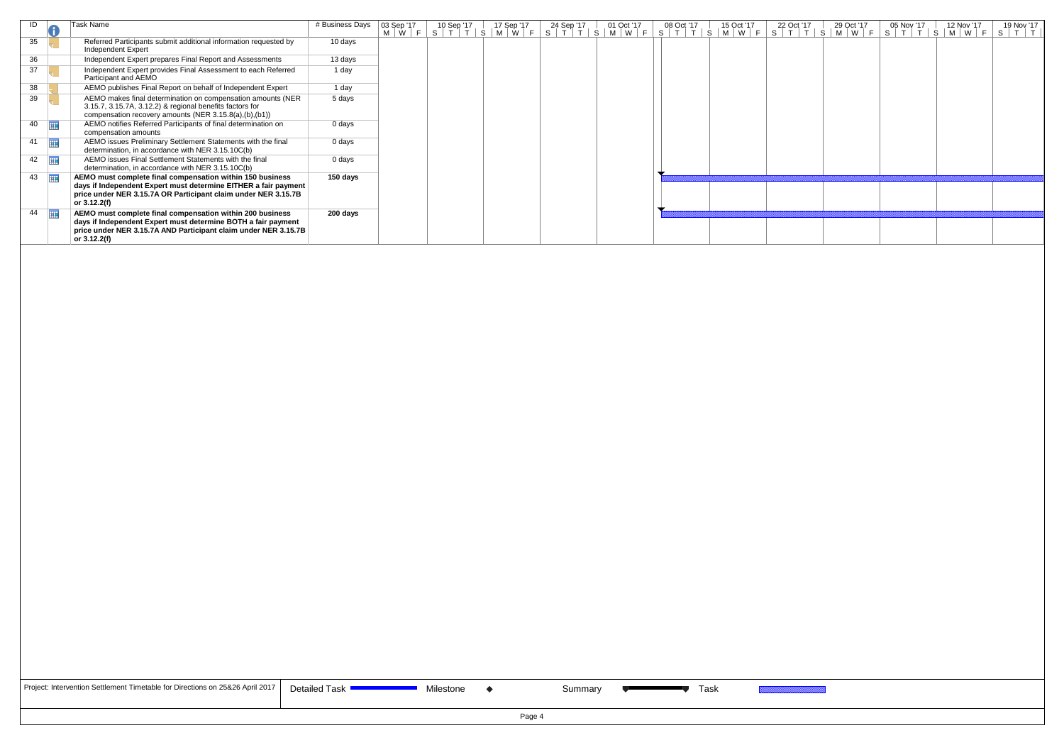| ID                     |            | Task Name                                                                                                                                                                         | # Business Days | 03 Sep '17<br>$M \mid W \mid F$ | 10 Sep '17 | 17 Sep '17<br>$S$   $T$   $T$   $S$   $M$   $W$   $F$ | 24 Sep '17 | 01 Oct '17<br>$S$   T   T   S   M   W   F   S   T   T   S   M   W   F | 08 Oct '17 | 15 Oct '17 | 22 Oct '17 | 29 Oct '17<br> S T T S M W F | 05 Nov '17<br> S T T S M W F | 12 Nov '17 | 19 Nov '17<br>$T$ $T$<br>S. |
|------------------------|------------|-----------------------------------------------------------------------------------------------------------------------------------------------------------------------------------|-----------------|---------------------------------|------------|-------------------------------------------------------|------------|-----------------------------------------------------------------------|------------|------------|------------|------------------------------|------------------------------|------------|-----------------------------|
| 35                     |            | Referred Participants submit additional information requested by<br>Independent Expert                                                                                            | 10 days         |                                 |            |                                                       |            |                                                                       |            |            |            |                              |                              |            |                             |
| 36                     |            | Independent Expert prepares Final Report and Assessments                                                                                                                          | 13 days         |                                 |            |                                                       |            |                                                                       |            |            |            |                              |                              |            |                             |
| 37                     |            | Independent Expert provides Final Assessment to each Referred<br>Participant and AEMO                                                                                             | 1 day           |                                 |            |                                                       |            |                                                                       |            |            |            |                              |                              |            |                             |
| 38                     |            | AEMO publishes Final Report on behalf of Independent Expert                                                                                                                       | 1 day           |                                 |            |                                                       |            |                                                                       |            |            |            |                              |                              |            |                             |
| 39                     |            | AEMO makes final determination on compensation amounts (NER<br>3.15.7, 3.15.7A, 3.12.2) & regional benefits factors for<br>compensation recovery amounts (NER 3.15.8(a),(b),(b1)) | 5 days          |                                 |            |                                                       |            |                                                                       |            |            |            |                              |                              |            |                             |
| 40                     | <b>THE</b> | AEMO notifies Referred Participants of final determination on<br>compensation amounts                                                                                             | 0 days          |                                 |            |                                                       |            |                                                                       |            |            |            |                              |                              |            |                             |
| 41                     | ⊞          | AEMO issues Preliminary Settlement Statements with the final<br>determination, in accordance with NER 3.15.10C(b)                                                                 | 0 days          |                                 |            |                                                       |            |                                                                       |            |            |            |                              |                              |            |                             |
| $42$ $\frac{1}{2}$     |            | AEMO issues Final Settlement Statements with the final<br>determination, in accordance with NER 3.15.10C(b)                                                                       | 0 days          |                                 |            |                                                       |            |                                                                       |            |            |            |                              |                              |            |                             |
| $43 \quad \boxed{111}$ |            | AEMO must complete final compensation within 150 business                                                                                                                         | 150 days        |                                 |            |                                                       |            |                                                                       |            |            |            |                              |                              |            |                             |
|                        |            | days if Independent Expert must determine EITHER a fair payment<br>price under NER 3.15.7A OR Participant claim under NER 3.15.7B<br>or 3.12.2(f)                                 |                 |                                 |            |                                                       |            |                                                                       |            |            |            |                              |                              |            |                             |
| 44                     | 再          | AEMO must complete final compensation within 200 business                                                                                                                         | 200 days        |                                 |            |                                                       |            |                                                                       |            |            |            |                              |                              |            |                             |
|                        |            | days if Independent Expert must determine BOTH a fair payment<br>price under NER 3.15.7A AND Participant claim under NER 3.15.7B<br>or 3.12.2(f)                                  |                 |                                 |            |                                                       |            |                                                                       |            |            |            |                              |                              |            |                             |

| Project: Intervention Settlement Timetable for Directions on 25&26 April 2017 | D |
|-------------------------------------------------------------------------------|---|
|-------------------------------------------------------------------------------|---|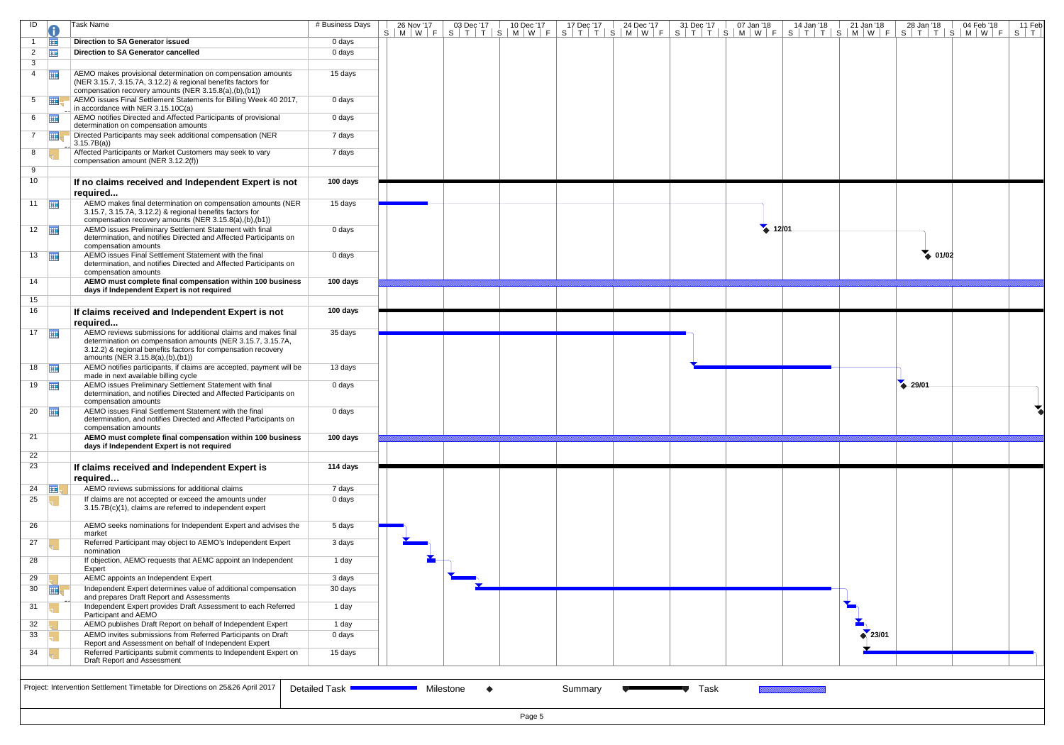| ID                    |                  | Task Name                                                                                                                                                                               | # Business Days |                        |        |         |      | 26 Nov'17   03 Dec'17   10 Dec'17   17 Dec'17   24 Dec'17   31 Dec'17   07 Jan '18   14 Jan '18   21 Jan '18   28 Jan '18   04 Feb '18  <br>S   M   W   F   S   T   T   S   M   W   F   S   T   T   S   M   W   F   S   T   T   T |                   |                 | 11 Feb<br>$S$ $T$ |
|-----------------------|------------------|-----------------------------------------------------------------------------------------------------------------------------------------------------------------------------------------|-----------------|------------------------|--------|---------|------|-----------------------------------------------------------------------------------------------------------------------------------------------------------------------------------------------------------------------------------|-------------------|-----------------|-------------------|
|                       | 亜                | <b>Direction to SA Generator issued</b>                                                                                                                                                 | 0 days          |                        |        |         |      |                                                                                                                                                                                                                                   |                   |                 |                   |
| $\overline{2}$        | 亜                | Direction to SA Generator cancelled                                                                                                                                                     | 0 days          |                        |        |         |      |                                                                                                                                                                                                                                   |                   |                 |                   |
| 3                     |                  |                                                                                                                                                                                         |                 |                        |        |         |      |                                                                                                                                                                                                                                   |                   |                 |                   |
| $\overline{4}$        | 亜                | AEMO makes provisional determination on compensation amounts<br>(NER 3.15.7, 3.15.7A, 3.12.2) & regional benefits factors for<br>compensation recovery amounts (NER 3.15.8(a),(b),(b1)) | 15 days         |                        |        |         |      |                                                                                                                                                                                                                                   |                   |                 |                   |
| 5 <sup>5</sup>        | $\overline{m}$ . | AEMO issues Final Settlement Statements for Billing Week 40 2017,<br>in accordance with NER 3.15.10C(a)                                                                                 | 0 days          |                        |        |         |      |                                                                                                                                                                                                                                   |                   |                 |                   |
| 6                     | <b>HE</b>        | AEMO notifies Directed and Affected Participants of provisional<br>determination on compensation amounts                                                                                | 0 days          |                        |        |         |      |                                                                                                                                                                                                                                   |                   |                 |                   |
| $7^{\circ}$           | <b>HH</b>        | Directed Participants may seek additional compensation (NER<br>3.15.7B(a)                                                                                                               | 7 days          |                        |        |         |      |                                                                                                                                                                                                                                   |                   |                 |                   |
| 8                     |                  | Affected Participants or Market Customers may seek to vary<br>compensation amount (NER 3.12.2(f))                                                                                       | 7 days          |                        |        |         |      |                                                                                                                                                                                                                                   |                   |                 |                   |
| 9                     |                  |                                                                                                                                                                                         |                 |                        |        |         |      |                                                                                                                                                                                                                                   |                   |                 |                   |
| 10                    |                  | If no claims received and Independent Expert is not                                                                                                                                     | 100 days        |                        |        |         |      |                                                                                                                                                                                                                                   |                   |                 |                   |
|                       |                  | required                                                                                                                                                                                |                 |                        |        |         |      |                                                                                                                                                                                                                                   |                   |                 |                   |
| $11$ $\frac{1}{2}$    |                  | AEMO makes final determination on compensation amounts (NER<br>3.15.7, 3.15.7A, 3.12.2) & regional benefits factors for<br>compensation recovery amounts (NER 3.15.8(a),(b),(b1))       | 15 days         |                        |        |         |      |                                                                                                                                                                                                                                   |                   |                 |                   |
| $12$ $\Box$           |                  | AEMO issues Preliminary Settlement Statement with final<br>determination, and notifies Directed and Affected Participants on                                                            | 0 days          |                        |        |         |      | $4 - 12/01$                                                                                                                                                                                                                       |                   |                 |                   |
| $13 \quad \boxed{11}$ |                  | compensation amounts<br>AEMO issues Final Settlement Statement with the final<br>determination, and notifies Directed and Affected Participants on                                      | 0 days          |                        |        |         |      |                                                                                                                                                                                                                                   |                   | $\bullet$ 01/02 |                   |
| 14                    |                  | compensation amounts<br>AEMO must complete final compensation within 100 business                                                                                                       | 100 days        |                        |        |         |      |                                                                                                                                                                                                                                   |                   |                 |                   |
|                       |                  | days if Independent Expert is not required                                                                                                                                              |                 |                        |        |         |      |                                                                                                                                                                                                                                   |                   |                 |                   |
| 15<br>16              |                  |                                                                                                                                                                                         | 100 days        |                        |        |         |      |                                                                                                                                                                                                                                   |                   |                 |                   |
|                       |                  | If claims received and Independent Expert is not                                                                                                                                        |                 |                        |        |         |      |                                                                                                                                                                                                                                   |                   |                 |                   |
|                       |                  | required<br>AEMO reviews submissions for additional claims and makes final                                                                                                              | 35 days         |                        |        |         |      |                                                                                                                                                                                                                                   |                   |                 |                   |
| $17$ $\Box$           |                  | determination on compensation amounts (NER 3.15.7, 3.15.7A,<br>3.12.2) & regional benefits factors for compensation recovery<br>amounts (NER 3.15.8(a),(b),(b1))                        |                 |                        |        |         |      |                                                                                                                                                                                                                                   |                   |                 |                   |
| $18$ $\frac{1}{2}$    |                  | AEMO notifies participants, if claims are accepted, payment will be<br>made in next available billing cycle                                                                             | 13 days         |                        |        |         |      |                                                                                                                                                                                                                                   |                   |                 |                   |
| $19$ $\frac{1}{2}$    |                  | AEMO issues Preliminary Settlement Statement with final<br>determination, and notifies Directed and Affected Participants on<br>compensation amounts                                    | 0 days          |                        |        |         |      |                                                                                                                                                                                                                                   |                   | 29/01           |                   |
| $20 \quad \boxed{11}$ |                  | AEMO issues Final Settlement Statement with the final<br>determination, and notifies Directed and Affected Participants on<br>compensation amounts                                      | 0 days          |                        |        |         |      |                                                                                                                                                                                                                                   |                   |                 |                   |
| 21                    |                  | AEMO must complete final compensation within 100 business                                                                                                                               | 100 days        |                        |        |         |      |                                                                                                                                                                                                                                   |                   |                 |                   |
|                       |                  | days if Independent Expert is not required                                                                                                                                              |                 |                        |        |         |      |                                                                                                                                                                                                                                   |                   |                 |                   |
| 22<br>23              |                  | If claims received and Independent Expert is<br>required                                                                                                                                | 114 days        |                        |        |         |      |                                                                                                                                                                                                                                   |                   |                 |                   |
| 24                    | <b>HE</b>        | AEMO reviews submissions for additional claims                                                                                                                                          | 7 days          |                        |        |         |      |                                                                                                                                                                                                                                   |                   |                 |                   |
| 25                    |                  | If claims are not accepted or exceed the amounts under<br>3.15.7B(c)(1), claims are referred to independent expert                                                                      | 0 days          |                        |        |         |      |                                                                                                                                                                                                                                   |                   |                 |                   |
| 26                    |                  | AEMO seeks nominations for Independent Expert and advises the<br>market                                                                                                                 | 5 days          |                        |        |         |      |                                                                                                                                                                                                                                   |                   |                 |                   |
| 27                    |                  | Referred Participant may object to AEMO's Independent Expert<br>nomination                                                                                                              | 3 days          |                        |        |         |      |                                                                                                                                                                                                                                   |                   |                 |                   |
| 28                    |                  | If objection, AEMO requests that AEMC appoint an Independent<br>Expert                                                                                                                  | 1 day           |                        |        |         |      |                                                                                                                                                                                                                                   |                   |                 |                   |
| 29                    |                  | AEMC appoints an Independent Expert                                                                                                                                                     | 3 days          |                        |        |         |      |                                                                                                                                                                                                                                   |                   |                 |                   |
| 30                    | <b>HIE</b>       | Independent Expert determines value of additional compensation<br>and prepares Draft Report and Assessments                                                                             | 30 days         |                        |        |         |      |                                                                                                                                                                                                                                   |                   |                 |                   |
| 31                    |                  | Independent Expert provides Draft Assessment to each Referred<br>Participant and AEMO                                                                                                   | 1 day           |                        |        |         |      |                                                                                                                                                                                                                                   |                   |                 |                   |
| 32                    |                  | AEMO publishes Draft Report on behalf of Independent Expert                                                                                                                             | 1 day           |                        |        |         |      |                                                                                                                                                                                                                                   |                   |                 |                   |
| 33                    |                  | AEMO invites submissions from Referred Participants on Draft                                                                                                                            | 0 days          |                        |        |         |      |                                                                                                                                                                                                                                   | $\triangle$ 23/01 |                 |                   |
| 34                    |                  | Report and Assessment on behalf of Independent Expert<br>Referred Participants submit comments to Independent Expert on                                                                 | 15 days         |                        |        |         |      |                                                                                                                                                                                                                                   |                   |                 |                   |
|                       |                  | Draft Report and Assessment                                                                                                                                                             |                 |                        |        |         |      |                                                                                                                                                                                                                                   |                   |                 |                   |
|                       |                  | Project: Intervention Settlement Timetable for Directions on 25&26 April 2017                                                                                                           | Detailed Task   | Milestone<br>$\bullet$ |        | Summary | Task |                                                                                                                                                                                                                                   |                   |                 |                   |
|                       |                  |                                                                                                                                                                                         |                 |                        | Page 5 |         |      |                                                                                                                                                                                                                                   |                   |                 |                   |

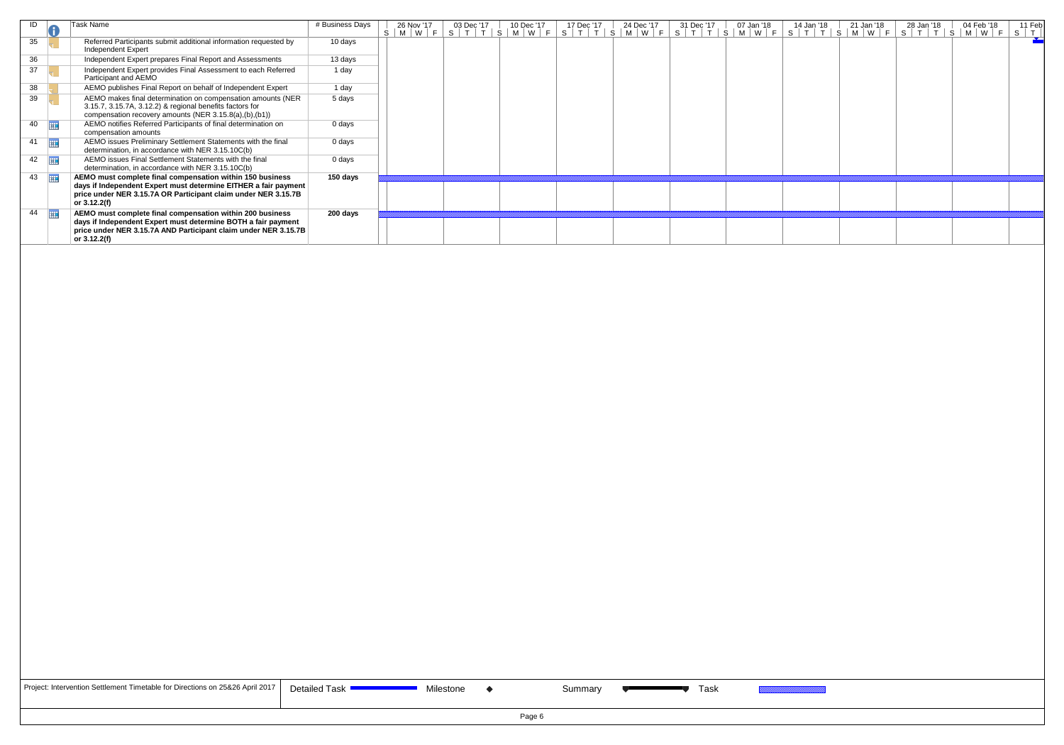| ID                    | Task Name                                                                                                                                                                                                      | # Business Days | 26 Nov '17      | 03 Dec '17 | 10 Dec '17 | 17 Dec '17                                | 24 Dec '17             | 31 Dec '17  | 07 Jan '18 | 14 Jan '18 | 21 Jan '18 | 28 Jan '18 | 04 Feb '18 | 11 Feb                     |
|-----------------------|----------------------------------------------------------------------------------------------------------------------------------------------------------------------------------------------------------------|-----------------|-----------------|------------|------------|-------------------------------------------|------------------------|-------------|------------|------------|------------|------------|------------|----------------------------|
|                       |                                                                                                                                                                                                                |                 | $S$   M   W   F |            |            | S   T   T   S   M   W   F   S   T   T   S | $M \mid W \mid$<br>- F | $S$ $T$ $T$ |            |            |            |            |            | $S$ $\vert$ $\tau$ $\vert$ |
| 35                    | Referred Participants submit additional information requested by<br>Independent Expert                                                                                                                         | 10 days         |                 |            |            |                                           |                        |             |            |            |            |            |            |                            |
| 36                    | Independent Expert prepares Final Report and Assessments                                                                                                                                                       | 13 days         |                 |            |            |                                           |                        |             |            |            |            |            |            |                            |
| 37                    | Independent Expert provides Final Assessment to each Referred<br>Participant and AEMO                                                                                                                          | 1 day           |                 |            |            |                                           |                        |             |            |            |            |            |            |                            |
| 38                    | AEMO publishes Final Report on behalf of Independent Expert                                                                                                                                                    | 1 day           |                 |            |            |                                           |                        |             |            |            |            |            |            |                            |
| 39                    | AEMO makes final determination on compensation amounts (NER<br>3.15.7, 3.15.7A, 3.12.2) & regional benefits factors for<br>compensation recovery amounts (NER 3.15.8(a),(b),(b1))                              | 5 days          |                 |            |            |                                           |                        |             |            |            |            |            |            |                            |
| $40$ $\Box$           | AEMO notifies Referred Participants of final determination on<br>compensation amounts                                                                                                                          | 0 days          |                 |            |            |                                           |                        |             |            |            |            |            |            |                            |
| 亜<br>41               | AEMO issues Preliminary Settlement Statements with the final<br>determination, in accordance with NER 3.15.10C(b)                                                                                              | 0 days          |                 |            |            |                                           |                        |             |            |            |            |            |            |                            |
| 42                    | AEMO issues Final Settlement Statements with the final<br>determination, in accordance with NER 3.15.10C(b)                                                                                                    | 0 days          |                 |            |            |                                           |                        |             |            |            |            |            |            |                            |
| $43 \quad \boxed{11}$ | AEMO must complete final compensation within 150 business<br>days if Independent Expert must determine EITHER a fair payment<br>price under NER 3.15.7A OR Participant claim under NER 3.15.7B<br>or 3.12.2(f) | 150 days        |                 |            |            |                                           |                        |             |            |            |            |            |            |                            |
| $44$ $\Box$           | AEMO must complete final compensation within 200 business                                                                                                                                                      | 200 days        |                 |            |            |                                           |                        |             |            |            |            |            |            |                            |
|                       | days if Independent Expert must determine BOTH a fair payment<br>price under NER 3.15.7A AND Participant claim under NER 3.15.7B<br>or 3.12.2(f)                                                               |                 |                 |            |            |                                           |                        |             |            |            |            |            |            |                            |

| Project: Intervention Settlement Timetable for Directions on 25&26 April 2017 |  |
|-------------------------------------------------------------------------------|--|
|-------------------------------------------------------------------------------|--|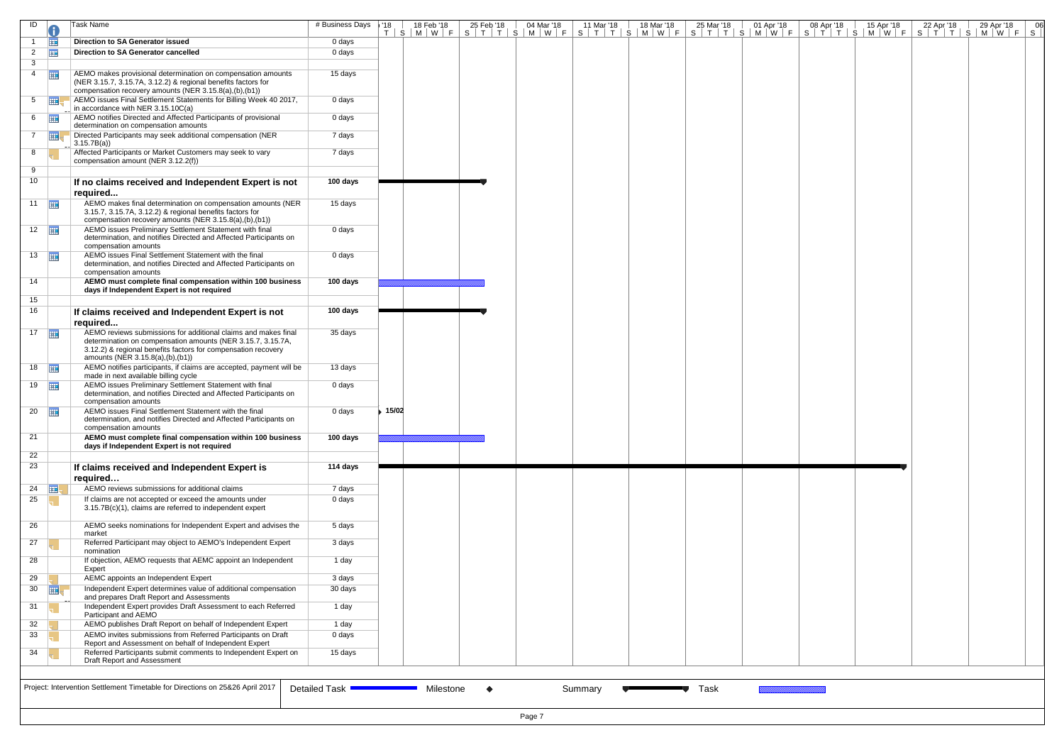| ID                    |                | Task Name                                                                                                                                                                                                                          | # Business Days   '18 | 18 Feb '18<br>T   S   M   W   F   S   T   T   S   M   W   F   S   T   T   S   M   W   F   S   T   T   T   S   M   W   F   S   T   T   S   M   W   F   S | 25 Feb '18 | 04 Mar '18 | 11 Mar '18 | 18 Mar '18 | 25 Mar '18 | 01 Apr '18 | 08 Apr '18 | 15 Apr '18 | 22 Apr '18 | 29 Apr '18 | 06 |
|-----------------------|----------------|------------------------------------------------------------------------------------------------------------------------------------------------------------------------------------------------------------------------------------|-----------------------|---------------------------------------------------------------------------------------------------------------------------------------------------------|------------|------------|------------|------------|------------|------------|------------|------------|------------|------------|----|
|                       | <b>FITE</b>    | <b>Direction to SA Generator issued</b>                                                                                                                                                                                            | 0 days                |                                                                                                                                                         |            |            |            |            |            |            |            |            |            |            |    |
| $\overline{2}$        | 亜              | Direction to SA Generator cancelled                                                                                                                                                                                                | 0 days                |                                                                                                                                                         |            |            |            |            |            |            |            |            |            |            |    |
| 3                     |                |                                                                                                                                                                                                                                    |                       |                                                                                                                                                         |            |            |            |            |            |            |            |            |            |            |    |
| $\overline{4}$        | <b>HE</b>      | AEMO makes provisional determination on compensation amounts<br>(NER 3.15.7, 3.15.7A, 3.12.2) & regional benefits factors for<br>compensation recovery amounts (NER 3.15.8(a),(b),(b1))                                            | 15 days               |                                                                                                                                                         |            |            |            |            |            |            |            |            |            |            |    |
| 5                     | $\overline{m}$ | AEMO issues Final Settlement Statements for Billing Week 40 2017,<br>in accordance with NER 3.15.10C(a)                                                                                                                            | 0 days                |                                                                                                                                                         |            |            |            |            |            |            |            |            |            |            |    |
| $6 \quad \boxed{11}$  |                | AEMO notifies Directed and Affected Participants of provisional<br>determination on compensation amounts                                                                                                                           | 0 days                |                                                                                                                                                         |            |            |            |            |            |            |            |            |            |            |    |
| $7^{\circ}$           | 軍              | Directed Participants may seek additional compensation (NER<br>3.15.7B(a)                                                                                                                                                          | 7 days                |                                                                                                                                                         |            |            |            |            |            |            |            |            |            |            |    |
| 8                     |                | Affected Participants or Market Customers may seek to vary<br>compensation amount (NER 3.12.2(f))                                                                                                                                  | 7 days                |                                                                                                                                                         |            |            |            |            |            |            |            |            |            |            |    |
| 9                     |                |                                                                                                                                                                                                                                    |                       |                                                                                                                                                         |            |            |            |            |            |            |            |            |            |            |    |
| 10 <sup>1</sup>       |                | If no claims received and Independent Expert is not<br>required                                                                                                                                                                    | 100 days              |                                                                                                                                                         |            |            |            |            |            |            |            |            |            |            |    |
| $11$ $\frac{1}{11}$   |                | AEMO makes final determination on compensation amounts (NER<br>3.15.7, 3.15.7A, 3.12.2) & regional benefits factors for<br>compensation recovery amounts (NER 3.15.8(a),(b),(b1))                                                  | 15 days               |                                                                                                                                                         |            |            |            |            |            |            |            |            |            |            |    |
| $12$ $\Box$           |                | AEMO issues Preliminary Settlement Statement with final<br>determination, and notifies Directed and Affected Participants on<br>compensation amounts                                                                               | 0 days                |                                                                                                                                                         |            |            |            |            |            |            |            |            |            |            |    |
| $13 \quad \boxed{11}$ |                | AEMO issues Final Settlement Statement with the final<br>determination, and notifies Directed and Affected Participants on<br>compensation amounts                                                                                 | 0 days                |                                                                                                                                                         |            |            |            |            |            |            |            |            |            |            |    |
| 14                    |                | AEMO must complete final compensation within 100 business<br>days if Independent Expert is not required                                                                                                                            | 100 days              |                                                                                                                                                         |            |            |            |            |            |            |            |            |            |            |    |
| 15                    |                |                                                                                                                                                                                                                                    |                       |                                                                                                                                                         |            |            |            |            |            |            |            |            |            |            |    |
| 16                    |                | If claims received and Independent Expert is not<br>required                                                                                                                                                                       | 100 days              |                                                                                                                                                         |            |            |            |            |            |            |            |            |            |            |    |
| $17$ $\Box$           |                | AEMO reviews submissions for additional claims and makes final<br>determination on compensation amounts (NER 3.15.7, 3.15.7A,<br>3.12.2) & regional benefits factors for compensation recovery<br>amounts (NER 3.15.8(a),(b),(b1)) | 35 days               |                                                                                                                                                         |            |            |            |            |            |            |            |            |            |            |    |
| $18$                  |                | AEMO notifies participants, if claims are accepted, payment will be<br>made in next available billing cycle                                                                                                                        | 13 days               |                                                                                                                                                         |            |            |            |            |            |            |            |            |            |            |    |
| 19                    |                | AEMO issues Preliminary Settlement Statement with final<br>determination, and notifies Directed and Affected Participants on<br>compensation amounts                                                                               | 0 days                |                                                                                                                                                         |            |            |            |            |            |            |            |            |            |            |    |
| $20$ $\Box$           |                | AEMO issues Final Settlement Statement with the final<br>determination, and notifies Directed and Affected Participants on<br>compensation amounts                                                                                 | 0 days                | ▶ 15/02                                                                                                                                                 |            |            |            |            |            |            |            |            |            |            |    |
| 21                    |                | AEMO must complete final compensation within 100 business<br>days if Independent Expert is not required                                                                                                                            | 100 days              |                                                                                                                                                         |            |            |            |            |            |            |            |            |            |            |    |
| 22                    |                |                                                                                                                                                                                                                                    |                       |                                                                                                                                                         |            |            |            |            |            |            |            |            |            |            |    |
| 23                    |                | If claims received and Independent Expert is<br>required                                                                                                                                                                           | 114 days              |                                                                                                                                                         |            |            |            |            |            |            |            |            |            |            |    |
| 24                    | ⊞!             | AEMO reviews submissions for additional claims                                                                                                                                                                                     | 7 days                |                                                                                                                                                         |            |            |            |            |            |            |            |            |            |            |    |
| 25                    |                | If claims are not accepted or exceed the amounts under<br>3.15.7B(c)(1), claims are referred to independent expert                                                                                                                 | 0 days                |                                                                                                                                                         |            |            |            |            |            |            |            |            |            |            |    |
| 26                    |                | AEMO seeks nominations for Independent Expert and advises the<br>market                                                                                                                                                            | 5 days                |                                                                                                                                                         |            |            |            |            |            |            |            |            |            |            |    |
| 27                    |                | Referred Participant may object to AEMO's Independent Expert<br>nomination                                                                                                                                                         | 3 days                |                                                                                                                                                         |            |            |            |            |            |            |            |            |            |            |    |
| 28                    |                | If objection, AEMO requests that AEMC appoint an Independent<br>Expert                                                                                                                                                             | 1 day                 |                                                                                                                                                         |            |            |            |            |            |            |            |            |            |            |    |
| 29                    |                | AEMC appoints an Independent Expert                                                                                                                                                                                                | 3 days                |                                                                                                                                                         |            |            |            |            |            |            |            |            |            |            |    |
| 30                    | 軍              | Independent Expert determines value of additional compensation<br>and prepares Draft Report and Assessments                                                                                                                        | 30 days               |                                                                                                                                                         |            |            |            |            |            |            |            |            |            |            |    |
| 31                    |                | Independent Expert provides Draft Assessment to each Referred<br>Participant and AEMO                                                                                                                                              | 1 day                 |                                                                                                                                                         |            |            |            |            |            |            |            |            |            |            |    |
| 32                    |                | AEMO publishes Draft Report on behalf of Independent Expert                                                                                                                                                                        | 1 day                 |                                                                                                                                                         |            |            |            |            |            |            |            |            |            |            |    |
| 33                    |                | AEMO invites submissions from Referred Participants on Draft                                                                                                                                                                       | 0 days                |                                                                                                                                                         |            |            |            |            |            |            |            |            |            |            |    |
| 34                    |                | Report and Assessment on behalf of Independent Expert<br>Referred Participants submit comments to Independent Expert on<br>Draft Report and Assessment                                                                             | 15 days               |                                                                                                                                                         |            |            |            |            |            |            |            |            |            |            |    |
|                       |                | Project: Intervention Settlement Timetable for Directions on 25&26 April 2017                                                                                                                                                      | Detailed Task -       | Milestone                                                                                                                                               | $\bullet$  |            | Summary    |            | Task       |            |            |            |            |            |    |
|                       |                |                                                                                                                                                                                                                                    |                       |                                                                                                                                                         |            | Page 7     |            |            |            |            |            |            |            |            |    |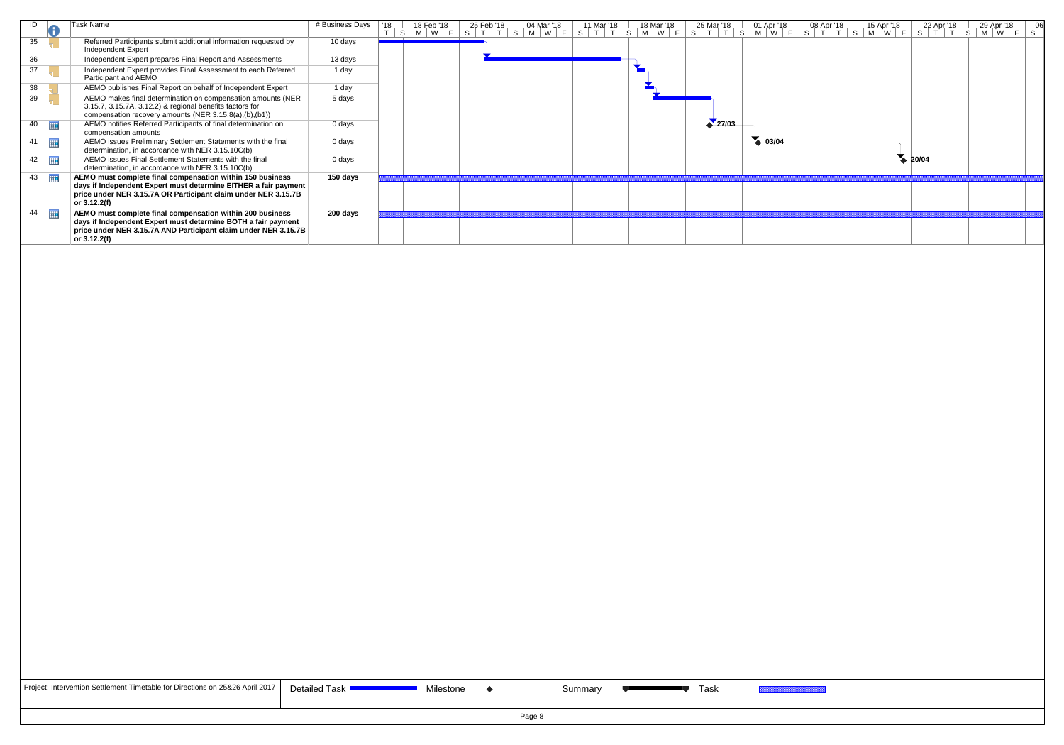| ID                    | Task Name                                                                                                                                                                                                      | # Business Days | '18 | 18 Feb '18                  | 25 Feb '18 | 04 Mar '18    | 11 Mar '18 | 18 Mar '18 | 25 Mar '18 | 01 Apr '18  | 08 Apr '18 | 15 Apr '18 | 22 Apr '18 | 29 Apr '18                                    |  |
|-----------------------|----------------------------------------------------------------------------------------------------------------------------------------------------------------------------------------------------------------|-----------------|-----|-----------------------------|------------|---------------|------------|------------|------------|-------------|------------|------------|------------|-----------------------------------------------|--|
| 35                    | Referred Participants submit additional information requested by<br>Independent Expert                                                                                                                         | 10 days         |     | $S$   M   W   F   S   T   T |            | S   M   W   F | $S \vert$  |            |            |             |            |            |            | $S$   $T$   $T$   $S$   $M$   $W$   $F$   $S$ |  |
| 36                    | Independent Expert prepares Final Report and Assessments                                                                                                                                                       | 13 days         |     |                             |            |               |            |            |            |             |            |            |            |                                               |  |
| 37                    | Independent Expert provides Final Assessment to each Referred<br>Participant and AEMO                                                                                                                          | 1 day           |     |                             |            |               |            |            |            |             |            |            |            |                                               |  |
| 38                    | AEMO publishes Final Report on behalf of Independent Expert                                                                                                                                                    | 1 day           |     |                             |            |               |            |            |            |             |            |            |            |                                               |  |
| 39                    | AEMO makes final determination on compensation amounts (NER<br>3.15.7, 3.15.7A, 3.12.2) & regional benefits factors for<br>compensation recovery amounts (NER 3.15.8(a),(b),(b1))                              | 5 days          |     |                             |            |               |            |            |            |             |            |            |            |                                               |  |
| - 田<br>40             | AEMO notifies Referred Participants of final determination on<br>compensation amounts                                                                                                                          | 0 days          |     |                             |            |               |            |            | 27/03      |             |            |            |            |                                               |  |
| $41$ $\frac{1}{2}$    | AEMO issues Preliminary Settlement Statements with the final<br>determination, in accordance with NER 3.15.10C(b)                                                                                              | $0$ days        |     |                             |            |               |            |            |            | $4 - 03/04$ |            |            |            |                                               |  |
| $42 \quad \boxed{11}$ | AEMO issues Final Settlement Statements with the final<br>determination, in accordance with NER 3.15.10C(b)                                                                                                    | 0 days          |     |                             |            |               |            |            |            |             |            |            | 20/04      |                                               |  |
| 43                    | AEMO must complete final compensation within 150 business<br>days if Independent Expert must determine EITHER a fair payment<br>price under NER 3.15.7A OR Participant claim under NER 3.15.7B<br>or 3.12.2(f) | 150 days        |     |                             |            |               |            |            |            |             |            |            |            |                                               |  |
| 44<br>再               | AEMO must complete final compensation within 200 business<br>days if Independent Expert must determine BOTH a fair payment<br>price under NER 3.15.7A AND Participant claim under NER 3.15.7B<br>or 3.12.2(f)  | 200 days        |     |                             |            |               |            |            |            |             |            |            |            |                                               |  |

| Project: Intervention Settlement Timetable for Directions on 25&26 April 2017   D |
|-----------------------------------------------------------------------------------|
|-----------------------------------------------------------------------------------|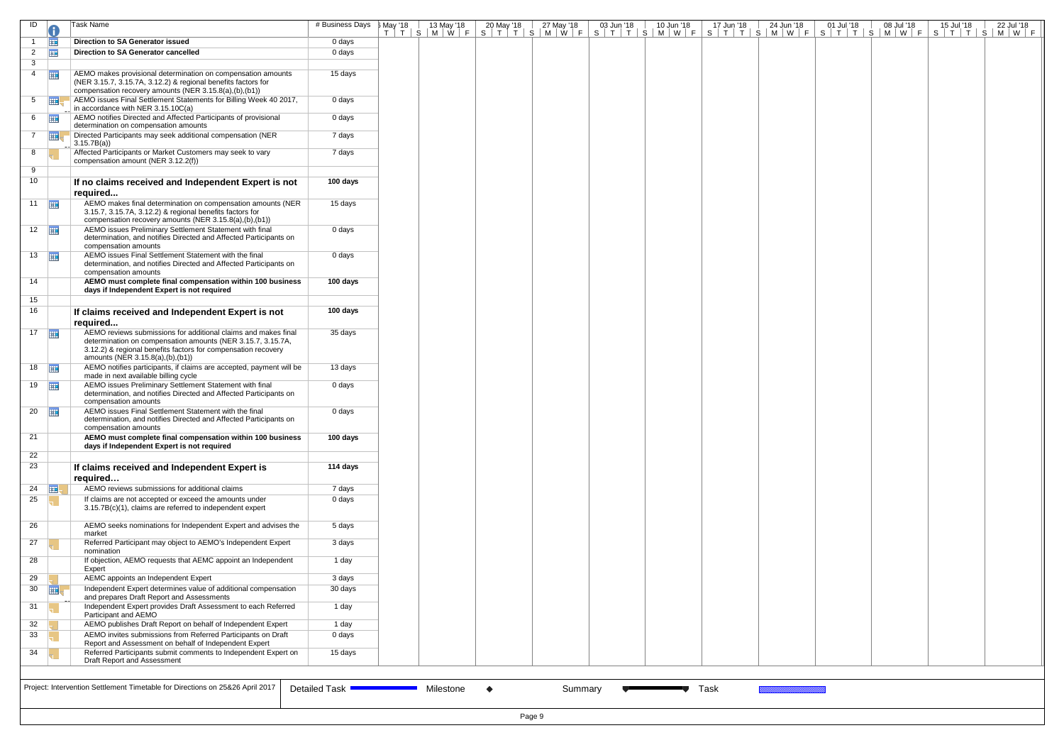| ID                    |             | Task Name                                                                                                                                                                                                                          | # Business Days   May '18 |  |           |           |         |  |  | May '18   13 May '18   20 May '18   27 May '18   03 Jun '18   10 Jun '18   17 Jun '18   24 Jun '18   01 Jul '18   08 Jul '18   15 Jul '18   22 Jul '18  <br>  T   T   S   M   W   F   S   T   T   S   M   W   F   S   T   T   S |  |  |  |
|-----------------------|-------------|------------------------------------------------------------------------------------------------------------------------------------------------------------------------------------------------------------------------------------|---------------------------|--|-----------|-----------|---------|--|--|---------------------------------------------------------------------------------------------------------------------------------------------------------------------------------------------------------------------------------|--|--|--|
|                       | <b>THE</b>  | <b>Direction to SA Generator issued</b>                                                                                                                                                                                            | 0 days                    |  |           |           |         |  |  |                                                                                                                                                                                                                                 |  |  |  |
| $\overline{2}$        | <b>FREE</b> | <b>Direction to SA Generator cancelled</b>                                                                                                                                                                                         | 0 days                    |  |           |           |         |  |  |                                                                                                                                                                                                                                 |  |  |  |
| 3                     |             |                                                                                                                                                                                                                                    |                           |  |           |           |         |  |  |                                                                                                                                                                                                                                 |  |  |  |
| $\overline{4}$        | <b>HIE</b>  | AEMO makes provisional determination on compensation amounts<br>(NER 3.15.7, 3.15.7A, 3.12.2) & regional benefits factors for<br>compensation recovery amounts (NER 3.15.8(a),(b),(b1))                                            | 15 days                   |  |           |           |         |  |  |                                                                                                                                                                                                                                 |  |  |  |
| $5^{\circ}$           |             | AEMO issues Final Settlement Statements for Billing Week 40 2017,<br>in accordance with NER 3.15.10C(a)                                                                                                                            | 0 days                    |  |           |           |         |  |  |                                                                                                                                                                                                                                 |  |  |  |
| $6 \quad \boxed{11}$  |             | AEMO notifies Directed and Affected Participants of provisional<br>determination on compensation amounts                                                                                                                           | 0 days                    |  |           |           |         |  |  |                                                                                                                                                                                                                                 |  |  |  |
| $\overline{7}$        | ⊞           | Directed Participants may seek additional compensation (NER<br>3.15.7B(a)                                                                                                                                                          | 7 days                    |  |           |           |         |  |  |                                                                                                                                                                                                                                 |  |  |  |
| 8                     |             | Affected Participants or Market Customers may seek to vary<br>compensation amount (NER 3.12.2(f))                                                                                                                                  | 7 days                    |  |           |           |         |  |  |                                                                                                                                                                                                                                 |  |  |  |
| 9                     |             |                                                                                                                                                                                                                                    |                           |  |           |           |         |  |  |                                                                                                                                                                                                                                 |  |  |  |
| 10                    |             | If no claims received and Independent Expert is not<br>required                                                                                                                                                                    | 100 days                  |  |           |           |         |  |  |                                                                                                                                                                                                                                 |  |  |  |
| 11 $\frac{1}{2}$      |             | AEMO makes final determination on compensation amounts (NER<br>3.15.7, 3.15.7A, 3.12.2) & regional benefits factors for<br>compensation recovery amounts (NER 3.15.8(a),(b),(b1))                                                  | 15 days                   |  |           |           |         |  |  |                                                                                                                                                                                                                                 |  |  |  |
| $12$ $\frac{1}{2}$    |             | AEMO issues Preliminary Settlement Statement with final<br>determination, and notifies Directed and Affected Participants on<br>compensation amounts                                                                               | 0 days                    |  |           |           |         |  |  |                                                                                                                                                                                                                                 |  |  |  |
| $13 \quad \boxed{11}$ |             | AEMO issues Final Settlement Statement with the final<br>determination, and notifies Directed and Affected Participants on<br>compensation amounts                                                                                 | 0 days                    |  |           |           |         |  |  |                                                                                                                                                                                                                                 |  |  |  |
| 14                    |             | AEMO must complete final compensation within 100 business                                                                                                                                                                          | 100 days                  |  |           |           |         |  |  |                                                                                                                                                                                                                                 |  |  |  |
| 15                    |             | days if Independent Expert is not required                                                                                                                                                                                         |                           |  |           |           |         |  |  |                                                                                                                                                                                                                                 |  |  |  |
| 16                    |             | If claims received and Independent Expert is not<br>required                                                                                                                                                                       | 100 days                  |  |           |           |         |  |  |                                                                                                                                                                                                                                 |  |  |  |
| $17$ $\frac{1}{111}$  |             | AEMO reviews submissions for additional claims and makes final<br>determination on compensation amounts (NER 3.15.7, 3.15.7A,<br>3.12.2) & regional benefits factors for compensation recovery<br>amounts (NER 3.15.8(a),(b),(b1)) | 35 days                   |  |           |           |         |  |  |                                                                                                                                                                                                                                 |  |  |  |
| $18$ $\frac{1}{111}$  |             | AEMO notifies participants, if claims are accepted, payment will be<br>made in next available billing cycle                                                                                                                        | 13 days                   |  |           |           |         |  |  |                                                                                                                                                                                                                                 |  |  |  |
| $19$ $\frac{1}{111}$  |             | AEMO issues Preliminary Settlement Statement with final<br>determination, and notifies Directed and Affected Participants on<br>compensation amounts                                                                               | 0 days                    |  |           |           |         |  |  |                                                                                                                                                                                                                                 |  |  |  |
| $20$ $\frac{1}{2}$    |             | AEMO issues Final Settlement Statement with the final<br>determination, and notifies Directed and Affected Participants on<br>compensation amounts                                                                                 | 0 days                    |  |           |           |         |  |  |                                                                                                                                                                                                                                 |  |  |  |
| 21                    |             | AEMO must complete final compensation within 100 business                                                                                                                                                                          | 100 days                  |  |           |           |         |  |  |                                                                                                                                                                                                                                 |  |  |  |
| 22                    |             | days if Independent Expert is not required                                                                                                                                                                                         |                           |  |           |           |         |  |  |                                                                                                                                                                                                                                 |  |  |  |
| 23                    |             | If claims received and Independent Expert is<br>required                                                                                                                                                                           | 114 days                  |  |           |           |         |  |  |                                                                                                                                                                                                                                 |  |  |  |
| 24 $\Box$             |             | AEMO reviews submissions for additional claims                                                                                                                                                                                     | 7 days                    |  |           |           |         |  |  |                                                                                                                                                                                                                                 |  |  |  |
| 25                    |             | If claims are not accepted or exceed the amounts under<br>3.15.7B(c)(1), claims are referred to independent expert                                                                                                                 | 0 days                    |  |           |           |         |  |  |                                                                                                                                                                                                                                 |  |  |  |
| 26                    |             | AEMO seeks nominations for Independent Expert and advises the<br>market                                                                                                                                                            | 5 days                    |  |           |           |         |  |  |                                                                                                                                                                                                                                 |  |  |  |
| 27                    |             | Referred Participant may object to AEMO's Independent Expert<br>nomination                                                                                                                                                         | 3 days                    |  |           |           |         |  |  |                                                                                                                                                                                                                                 |  |  |  |
| 28                    |             | If objection, AEMO requests that AEMC appoint an Independent<br>Expert                                                                                                                                                             | 1 day                     |  |           |           |         |  |  |                                                                                                                                                                                                                                 |  |  |  |
| 29                    |             | AEMC appoints an Independent Expert                                                                                                                                                                                                | 3 days                    |  |           |           |         |  |  |                                                                                                                                                                                                                                 |  |  |  |
| $30$ $\frac{1}{2}$    |             | Independent Expert determines value of additional compensation<br>and prepares Draft Report and Assessments                                                                                                                        | 30 days                   |  |           |           |         |  |  |                                                                                                                                                                                                                                 |  |  |  |
| 31                    |             | Independent Expert provides Draft Assessment to each Referred<br>Participant and AEMO                                                                                                                                              | 1 day                     |  |           |           |         |  |  |                                                                                                                                                                                                                                 |  |  |  |
| 32                    |             | AEMO publishes Draft Report on behalf of Independent Expert                                                                                                                                                                        | 1 day                     |  |           |           |         |  |  |                                                                                                                                                                                                                                 |  |  |  |
| 33                    |             | AEMO invites submissions from Referred Participants on Draft                                                                                                                                                                       | 0 days                    |  |           |           |         |  |  |                                                                                                                                                                                                                                 |  |  |  |
| 34                    |             | Report and Assessment on behalf of Independent Expert<br>Referred Participants submit comments to Independent Expert on<br>Draft Report and Assessment                                                                             | 15 days                   |  |           |           |         |  |  |                                                                                                                                                                                                                                 |  |  |  |
|                       |             |                                                                                                                                                                                                                                    |                           |  |           |           |         |  |  |                                                                                                                                                                                                                                 |  |  |  |
|                       |             | Project: Intervention Settlement Timetable for Directions on 25&26 April 2017                                                                                                                                                      | Detailed Task '           |  | Milestone | $\bullet$ | Summary |  |  | Task                                                                                                                                                                                                                            |  |  |  |
|                       |             |                                                                                                                                                                                                                                    |                           |  |           |           |         |  |  |                                                                                                                                                                                                                                 |  |  |  |
|                       | Page 9      |                                                                                                                                                                                                                                    |                           |  |           |           |         |  |  |                                                                                                                                                                                                                                 |  |  |  |